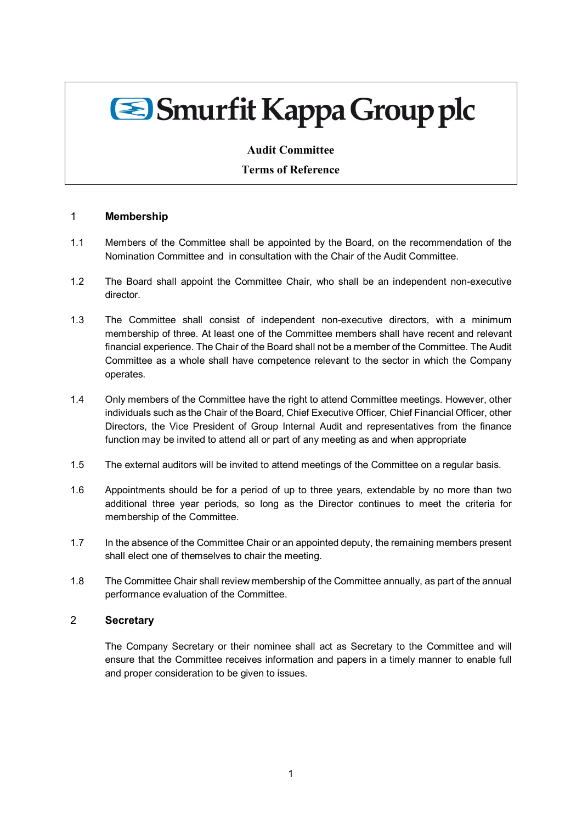# Smurfit Kappa Group plc

## **Audit Committee**

## **Terms of Reference**

### 1 **Membership**

- 1.1 Members of the Committee shall be appointed by the Board, on the recommendation of the Nomination Committee and in consultation with the Chair of the Audit Committee.
- 1.2 The Board shall appoint the Committee Chair, who shall be an independent non-executive director.
- 1.3 The Committee shall consist of independent non-executive directors, with a minimum membership of three. At least one of the Committee members shall have recent and relevant financial experience. The Chair of the Board shall not be a member of the Committee. The Audit Committee as a whole shall have competence relevant to the sector in which the Company operates.
- 1.4 Only members of the Committee have the right to attend Committee meetings. However, other individuals such as the Chair of the Board, Chief Executive Officer, Chief Financial Officer, other Directors, the Vice President of Group Internal Audit and representatives from the finance function may be invited to attend all or part of any meeting as and when appropriate
- 1.5 The external auditors will be invited to attend meetings of the Committee on a regular basis.
- 1.6 Appointments should be for a period of up to three years, extendable by no more than two additional three year periods, so long as the Director continues to meet the criteria for membership of the Committee.
- 1.7 In the absence of the Committee Chair or an appointed deputy, the remaining members present shall elect one of themselves to chair the meeting.
- 1.8 The Committee Chair shall review membership of the Committee annually, as part of the annual performance evaluation of the Committee.

## 2 **Secretary**

The Company Secretary or their nominee shall act as Secretary to the Committee and will ensure that the Committee receives information and papers in a timely manner to enable full and proper consideration to be given to issues.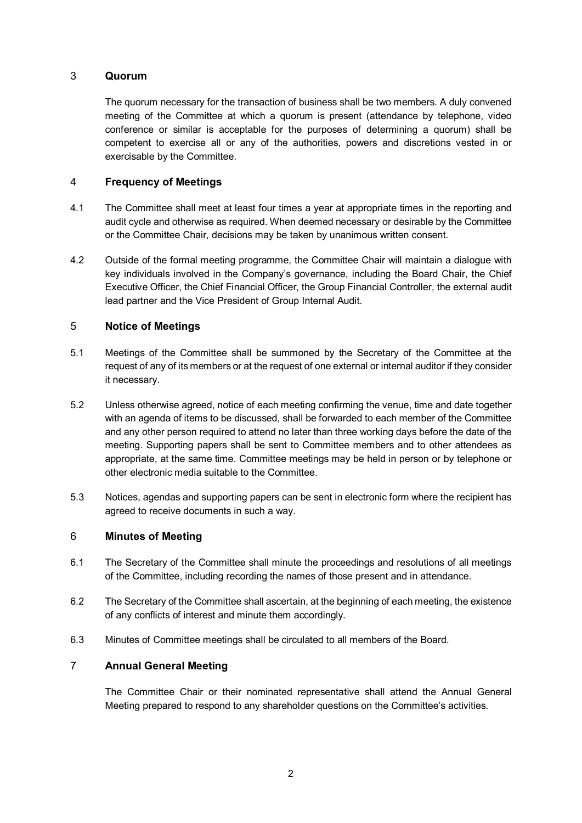## 3 **Quorum**

The quorum necessary for the transaction of business shall be two members. A duly convened meeting of the Committee at which a quorum is present (attendance by telephone, video conference or similar is acceptable for the purposes of determining a quorum) shall be competent to exercise all or any of the authorities, powers and discretions vested in or exercisable by the Committee.

## 4 **Frequency of Meetings**

- 4.1 The Committee shall meet at least four times a year at appropriate times in the reporting and audit cycle and otherwise as required. When deemed necessary or desirable by the Committee or the Committee Chair, decisions may be taken by unanimous written consent.
- 4.2 Outside of the formal meeting programme, the Committee Chair will maintain a dialogue with key individuals involved in the Company's governance, including the Board Chair, the Chief Executive Officer, the Chief Financial Officer, the Group Financial Controller, the external audit lead partner and the Vice President of Group Internal Audit.

## 5 **Notice of Meetings**

- 5.1 Meetings of the Committee shall be summoned by the Secretary of the Committee at the request of any of its members or at the request of one external or internal auditor if they consider it necessary.
- 5.2 Unless otherwise agreed, notice of each meeting confirming the venue, time and date together with an agenda of items to be discussed, shall be forwarded to each member of the Committee and any other person required to attend no later than three working days before the date of the meeting. Supporting papers shall be sent to Committee members and to other attendees as appropriate, at the same time. Committee meetings may be held in person or by telephone or other electronic media suitable to the Committee.
- 5.3 Notices, agendas and supporting papers can be sent in electronic form where the recipient has agreed to receive documents in such a way.

## 6 **Minutes of Meeting**

- 6.1 The Secretary of the Committee shall minute the proceedings and resolutions of all meetings of the Committee, including recording the names of those present and in attendance.
- 6.2 The Secretary of the Committee shall ascertain, at the beginning of each meeting, the existence of any conflicts of interest and minute them accordingly.
- 6.3 Minutes of Committee meetings shall be circulated to all members of the Board.

### 7 **Annual General Meeting**

The Committee Chair or their nominated representative shall attend the Annual General Meeting prepared to respond to any shareholder questions on the Committee's activities.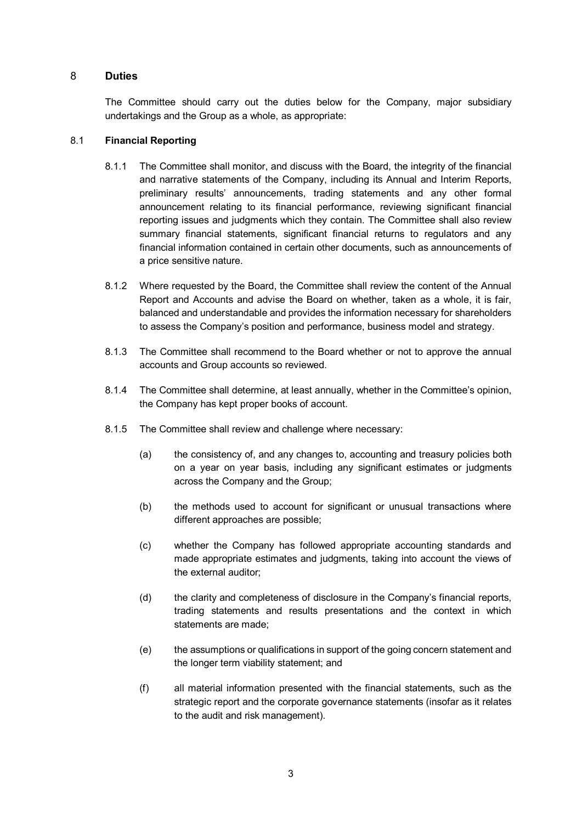## 8 **Duties**

The Committee should carry out the duties below for the Company, major subsidiary undertakings and the Group as a whole, as appropriate:

## 8.1 **Financial Reporting**

- 8.1.1 The Committee shall monitor, and discuss with the Board, the integrity of the financial and narrative statements of the Company, including its Annual and Interim Reports, preliminary results' announcements, trading statements and any other formal announcement relating to its financial performance, reviewing significant financial reporting issues and judgments which they contain. The Committee shall also review summary financial statements, significant financial returns to regulators and any financial information contained in certain other documents, such as announcements of a price sensitive nature.
- 8.1.2 Where requested by the Board, the Committee shall review the content of the Annual Report and Accounts and advise the Board on whether, taken as a whole, it is fair, balanced and understandable and provides the information necessary for shareholders to assess the Company's position and performance, business model and strategy.
- 8.1.3 The Committee shall recommend to the Board whether or not to approve the annual accounts and Group accounts so reviewed.
- 8.1.4 The Committee shall determine, at least annually, whether in the Committee's opinion, the Company has kept proper books of account.
- 8.1.5 The Committee shall review and challenge where necessary:
	- (a) the consistency of, and any changes to, accounting and treasury policies both on a year on year basis, including any significant estimates or judgments across the Company and the Group;
	- (b) the methods used to account for significant or unusual transactions where different approaches are possible;
	- (c) whether the Company has followed appropriate accounting standards and made appropriate estimates and judgments, taking into account the views of the external auditor;
	- (d) the clarity and completeness of disclosure in the Company's financial reports, trading statements and results presentations and the context in which statements are made;
	- (e) the assumptions or qualifications in support of the going concern statement and the longer term viability statement; and
	- (f) all material information presented with the financial statements, such as the strategic report and the corporate governance statements (insofar as it relates to the audit and risk management).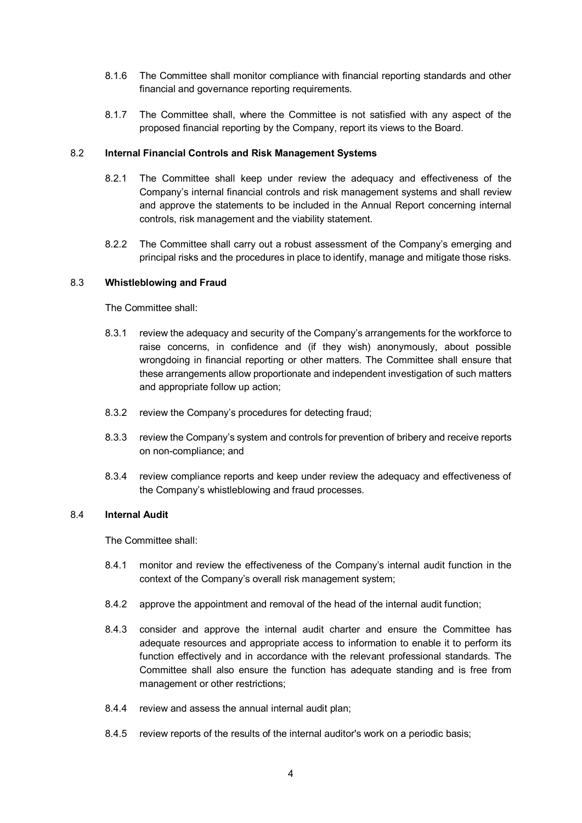- 8.1.6 The Committee shall monitor compliance with financial reporting standards and other financial and governance reporting requirements.
- 8.1.7 The Committee shall, where the Committee is not satisfied with any aspect of the proposed financial reporting by the Company, report its views to the Board.

### 8.2 **Internal Financial Controls and Risk Management Systems**

- 8.2.1 The Committee shall keep under review the adequacy and effectiveness of the Company's internal financial controls and risk management systems and shall review and approve the statements to be included in the Annual Report concerning internal controls, risk management and the viability statement.
- 8.2.2 The Committee shall carry out a robust assessment of the Company's emerging and principal risks and the procedures in place to identify, manage and mitigate those risks.

### 8.3 **Whistleblowing and Fraud**

The Committee shall:

- 8.3.1 review the adequacy and security of the Company's arrangements for the workforce to raise concerns, in confidence and (if they wish) anonymously, about possible wrongdoing in financial reporting or other matters. The Committee shall ensure that these arrangements allow proportionate and independent investigation of such matters and appropriate follow up action;
- 8.3.2 review the Company's procedures for detecting fraud;
- 8.3.3 review the Company's system and controls for prevention of bribery and receive reports on non-compliance; and
- 8.3.4 review compliance reports and keep under review the adequacy and effectiveness of the Company's whistleblowing and fraud processes.

### 8.4 **Internal Audit**

The Committee shall:

- 8.4.1 monitor and review the effectiveness of the Company's internal audit function in the context of the Company's overall risk management system;
- 8.4.2 approve the appointment and removal of the head of the internal audit function;
- 8.4.3 consider and approve the internal audit charter and ensure the Committee has adequate resources and appropriate access to information to enable it to perform its function effectively and in accordance with the relevant professional standards. The Committee shall also ensure the function has adequate standing and is free from management or other restrictions;
- 8.4.4 review and assess the annual internal audit plan;
- 8.4.5 review reports of the results of the internal auditor's work on a periodic basis;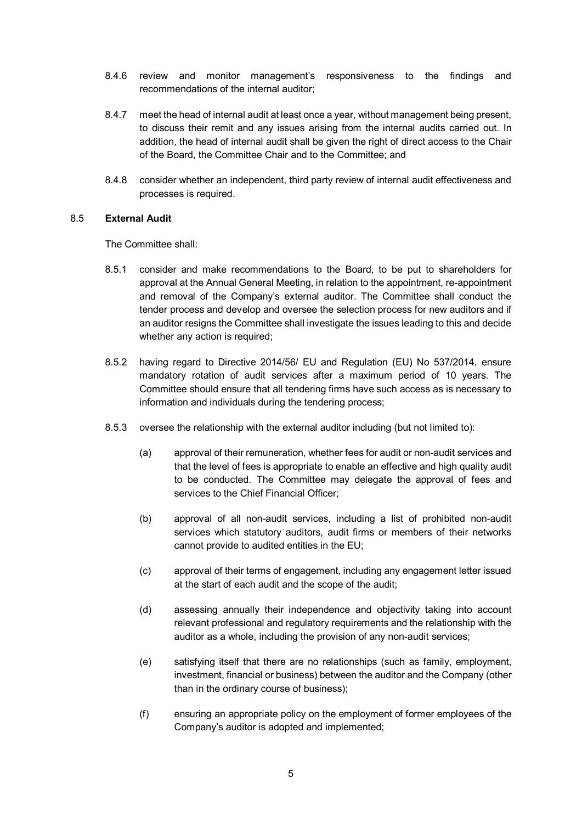- 8.4.6 review and monitor management's responsiveness to the findings and recommendations of the internal auditor;
- 8.4.7 meet the head of internal audit at least once a year, without management being present, to discuss their remit and any issues arising from the internal audits carried out. In addition, the head of internal audit shall be given the right of direct access to the Chair of the Board, the Committee Chair and to the Committee; and
- 8.4.8 consider whether an independent, third party review of internal audit effectiveness and processes is required.

### 8.5 **External Audit**

The Committee shall:

- 8.5.1 consider and make recommendations to the Board, to be put to shareholders for approval at the Annual General Meeting, in relation to the appointment, re-appointment and removal of the Company's external auditor. The Committee shall conduct the tender process and develop and oversee the selection process for new auditors and if an auditor resigns the Committee shall investigate the issues leading to this and decide whether any action is required;
- 8.5.2 having regard to Directive 2014/56/ EU and Regulation (EU) No 537/2014, ensure mandatory rotation of audit services after a maximum period of 10 years. The Committee should ensure that all tendering firms have such access as is necessary to information and individuals during the tendering process;
- 8.5.3 oversee the relationship with the external auditor including (but not limited to):
	- (a) approval of their remuneration, whether fees for audit or non-audit services and that the level of fees is appropriate to enable an effective and high quality audit to be conducted. The Committee may delegate the approval of fees and services to the Chief Financial Officer;
	- (b) approval of all non-audit services, including a list of prohibited non-audit services which statutory auditors, audit firms or members of their networks cannot provide to audited entities in the EU;
	- (c) approval of their terms of engagement, including any engagement letter issued at the start of each audit and the scope of the audit;
	- (d) assessing annually their independence and objectivity taking into account relevant professional and regulatory requirements and the relationship with the auditor as a whole, including the provision of any non-audit services;
	- (e) satisfying itself that there are no relationships (such as family, employment, investment, financial or business) between the auditor and the Company (other than in the ordinary course of business);
	- (f) ensuring an appropriate policy on the employment of former employees of the Company's auditor is adopted and implemented;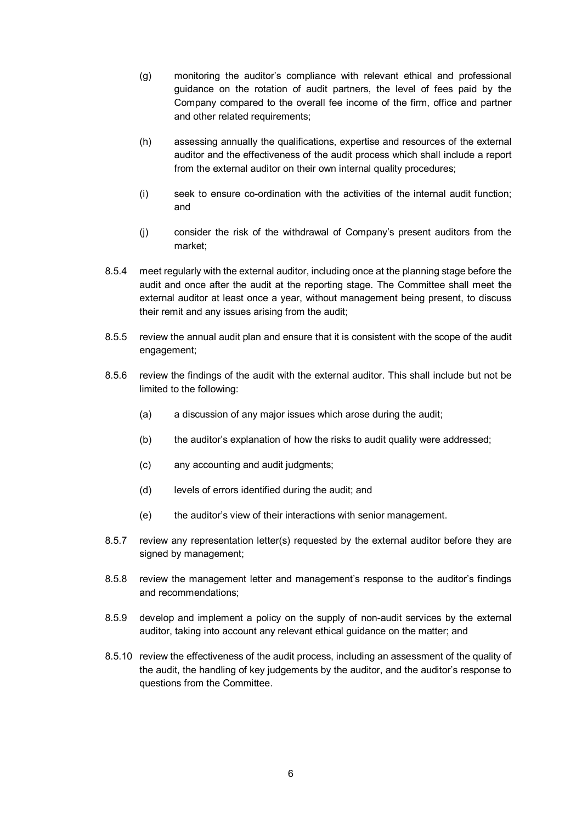- (g) monitoring the auditor's compliance with relevant ethical and professional guidance on the rotation of audit partners, the level of fees paid by the Company compared to the overall fee income of the firm, office and partner and other related requirements:
- (h) assessing annually the qualifications, expertise and resources of the external auditor and the effectiveness of the audit process which shall include a report from the external auditor on their own internal quality procedures;
- (i) seek to ensure co-ordination with the activities of the internal audit function; and
- (j) consider the risk of the withdrawal of Company's present auditors from the market;
- 8.5.4 meet regularly with the external auditor, including once at the planning stage before the audit and once after the audit at the reporting stage. The Committee shall meet the external auditor at least once a year, without management being present, to discuss their remit and any issues arising from the audit;
- 8.5.5 review the annual audit plan and ensure that it is consistent with the scope of the audit engagement;
- 8.5.6 review the findings of the audit with the external auditor. This shall include but not be limited to the following:
	- (a) a discussion of any major issues which arose during the audit;
	- (b) the auditor's explanation of how the risks to audit quality were addressed;
	- (c) any accounting and audit judgments;
	- (d) levels of errors identified during the audit; and
	- (e) the auditor's view of their interactions with senior management.
- 8.5.7 review any representation letter(s) requested by the external auditor before they are signed by management:
- 8.5.8 review the management letter and management's response to the auditor's findings and recommendations;
- 8.5.9 develop and implement a policy on the supply of non-audit services by the external auditor, taking into account any relevant ethical guidance on the matter; and
- 8.5.10 review the effectiveness of the audit process, including an assessment of the quality of the audit, the handling of key judgements by the auditor, and the auditor's response to questions from the Committee.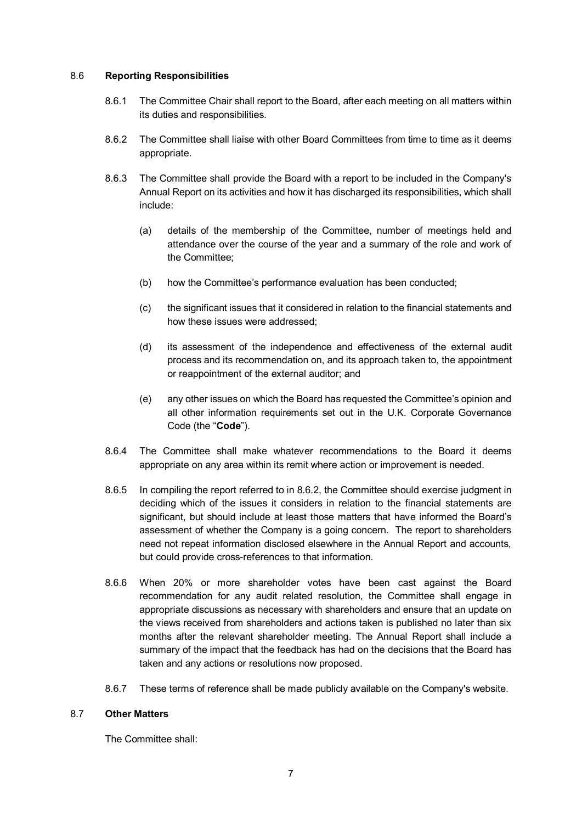#### 8.6 **Reporting Responsibilities**

- 8.6.1 The Committee Chair shall report to the Board, after each meeting on all matters within its duties and responsibilities.
- 8.6.2 The Committee shall liaise with other Board Committees from time to time as it deems appropriate.
- 8.6.3 The Committee shall provide the Board with a report to be included in the Company's Annual Report on its activities and how it has discharged its responsibilities, which shall include:
	- (a) details of the membership of the Committee, number of meetings held and attendance over the course of the year and a summary of the role and work of the Committee;
	- (b) how the Committee's performance evaluation has been conducted;
	- (c) the significant issues that it considered in relation to the financial statements and how these issues were addressed;
	- (d) its assessment of the independence and effectiveness of the external audit process and its recommendation on, and its approach taken to, the appointment or reappointment of the external auditor; and
	- (e) any other issues on which the Board has requested the Committee's opinion and all other information requirements set out in the U.K. Corporate Governance Code (the "**Code**").
- 8.6.4 The Committee shall make whatever recommendations to the Board it deems appropriate on any area within its remit where action or improvement is needed.
- 8.6.5 In compiling the report referred to in 8.6.2, the Committee should exercise judgment in deciding which of the issues it considers in relation to the financial statements are significant, but should include at least those matters that have informed the Board's assessment of whether the Company is a going concern. The report to shareholders need not repeat information disclosed elsewhere in the Annual Report and accounts, but could provide cross-references to that information.
- 8.6.6 When 20% or more shareholder votes have been cast against the Board recommendation for any audit related resolution, the Committee shall engage in appropriate discussions as necessary with shareholders and ensure that an update on the views received from shareholders and actions taken is published no later than six months after the relevant shareholder meeting. The Annual Report shall include a summary of the impact that the feedback has had on the decisions that the Board has taken and any actions or resolutions now proposed.
- 8.6.7 These terms of reference shall be made publicly available on the Company's website.

### 8.7 **Other Matters**

The Committee shall: